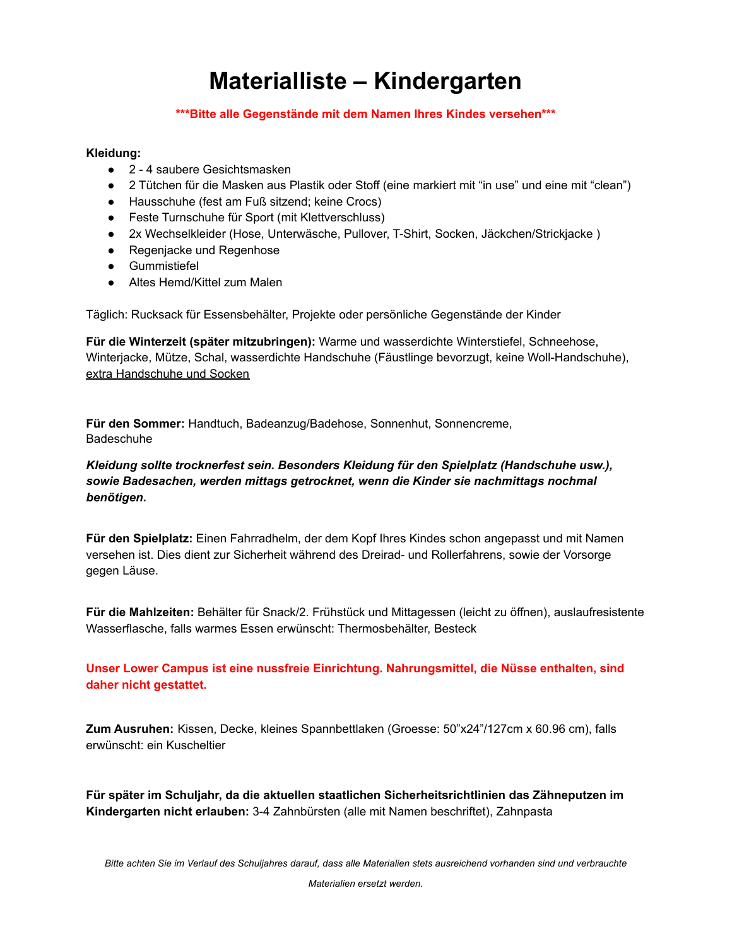# **Materialliste – Kindergarten**

### **\*\*\*Bitte alle Gegenstände mit dem Namen Ihres Kindes versehen\*\*\***

### **Kleidung:**

- 2 4 saubere Gesichtsmasken
- 2 Tütchen für die Masken aus Plastik oder Stoff (eine markiert mit "in use" und eine mit "clean")
- Hausschuhe (fest am Fuß sitzend; keine Crocs)
- Feste Turnschuhe für Sport (mit Klettverschluss)
- 2x Wechselkleider (Hose, Unterwäsche, Pullover, T-Shirt, Socken, Jäckchen/Strickjacke )
- Regenjacke und Regenhose
- Gummistiefel
- Altes Hemd/Kittel zum Malen

Täglich: Rucksack für Essensbehälter, Projekte oder persönliche Gegenstände der Kinder

**Für die Winterzeit (später mitzubringen):** Warme und wasserdichte Winterstiefel, Schneehose, Winterjacke, Mütze, Schal, wasserdichte Handschuhe (Fäustlinge bevorzugt, keine Woll-Handschuhe), extra Handschuhe und Socken

**Für den Sommer:** Handtuch, Badeanzug/Badehose, Sonnenhut, Sonnencreme, Badeschuhe

### *Kleidung sollte trocknerfest sein. Besonders Kleidung für den Spielplatz (Handschuhe usw.), sowie Badesachen, werden mittags getrocknet, wenn die Kinder sie nachmittags nochmal benötigen.*

**Für den Spielplatz:** Einen Fahrradhelm, der dem Kopf Ihres Kindes schon angepasst und mit Namen versehen ist. Dies dient zur Sicherheit während des Dreirad- und Rollerfahrens, sowie der Vorsorge gegen Läuse.

**Für die Mahlzeiten:** Behälter für Snack/2. Frühstück und Mittagessen (leicht zu öffnen), auslaufresistente Wasserflasche, falls warmes Essen erwünscht: Thermosbehälter, Besteck

**Unser Lower Campus ist eine nussfreie Einrichtung. Nahrungsmittel, die Nüsse enthalten, sind daher nicht gestattet.**

**Zum Ausruhen:** Kissen, Decke, kleines Spannbettlaken (Groesse: 50"x24"/127cm x 60.96 cm), falls erwünscht: ein Kuscheltier

**Für später im Schuljahr, da die aktuellen staatlichen Sicherheitsrichtlinien das Zähneputzen im Kindergarten nicht erlauben:** 3-4 Zahnbürsten (alle mit Namen beschriftet), Zahnpasta